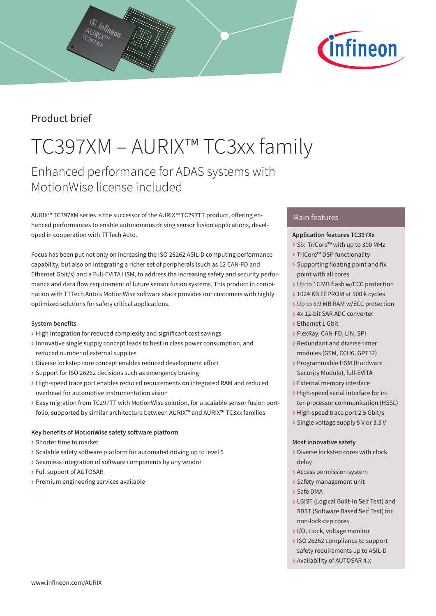

# Product brief

# TC397XM – AURIX™ TC3xx family

# Enhanced performance for ADAS systems with MotionWise license included

AURIX™ TC397XM series is the successor of the AURIX™ TC297TT product, offering enhanced performances to enable autonomous driving sensor fusion applications, developed in cooperation with TTTech Auto.

Focus has been put not only on increasing the ISO 26262 ASIL-D computing performance capability, but also on integrating a richer set of peripherals (such as 12 CAN-FD and Ethernet Gbit/s) and a Full-EVITA HSM, to address the increasing safety and security performance and data flow requirement of future sensor fusion systems. This product in combination with TTTech Auto's MotionWise software stack provides our customers with highly optimized solutions for safety critical applications.

# **System benefits**

- › High integration for reduced complexity and significant cost savings
- › Innovative single supply concept leads to best in class power consumption, and reduced number of external supplies
- › Diverse lockstep core concept enables reduced development effort
- › Support for ISO 26262 decisions such as emergency braking
- › High-speed trace port enables reduced requirements on integrated RAM and reduced overhead for automotive instrumentation vision
- › Easy migration from TC297TT with MotionWise solution, for a scalable sensor fusion portfolio, supported by similar architecture between AURIX™ and AURIX™ TC3xx families

# **Key benefits of MotionWise safety software platform**

- › Shorter time to market
- › Scalable safety software platform for automated driving up to level 5
- › Seamless integration of software components by any vendor
- › Full support of AUTOSAR
- › Premium engineering services available

# Main features

# **Application features TC397Xx**

- › Six TriCore™ with up to 300 MHz
- › TriCore™ DSP functionality
- › Supporting floating point and fix point with all cores
- › Up to 16 MB flash w/ECC protection
- › 1024 KB EEPROM at 500 k cycles
- › Up to 6.9 MB RAM w/ECC protection
- › 4x 12-bit SAR ADC converter
- › Ethernet 1 Gbit
- › FlexRay, CAN-FD, LIN, SPI
- › Redundant and diverse timer modules (GTM, CCU6, GPT12)
- › Programmable HSM (Hardware Security Module), full-EVITA
- › External memory interface
- › High-speed serial interface for inter-processor communication (HSSL)
- › High-speed trace port 2.5 Gbit/s
- › Single voltage supply 5 V or 3.3 V

# **Most innovative safety**

- › Diverse lockstep cores with clock delay
- › Access permission system
- › Safety management unit
- › Safe DMA
- › LBIST (Logical Built-In Self Test) and SBST (Software Based Self Test) for non-lockstep cores
- › I/O, clock, voltage monitor
- › ISO 26262 compliance to support safety requirements up to ASIL-D
- › Availability of AUTOSAR 4.x